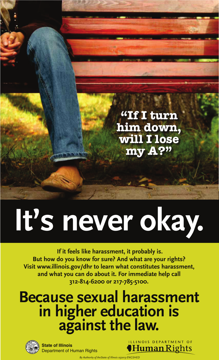

# **It's never okay.**

 **If it feels like harassment, it probably is. But how do you know for sure? And what are your rights? Visit www.illinois.gov/dhr to learn what constitutes harassment, and what you can do about it. For immediate help call 312-814-6200 or 217-785-5100.**

## **Because sexual harassment in higher education is against the law.**



**State of Illinois** Department of Human Rights ILLINOIS DEPARTMENT OF Human Rights

*By Authority of theState of Illinois 052013-ENGSHED*